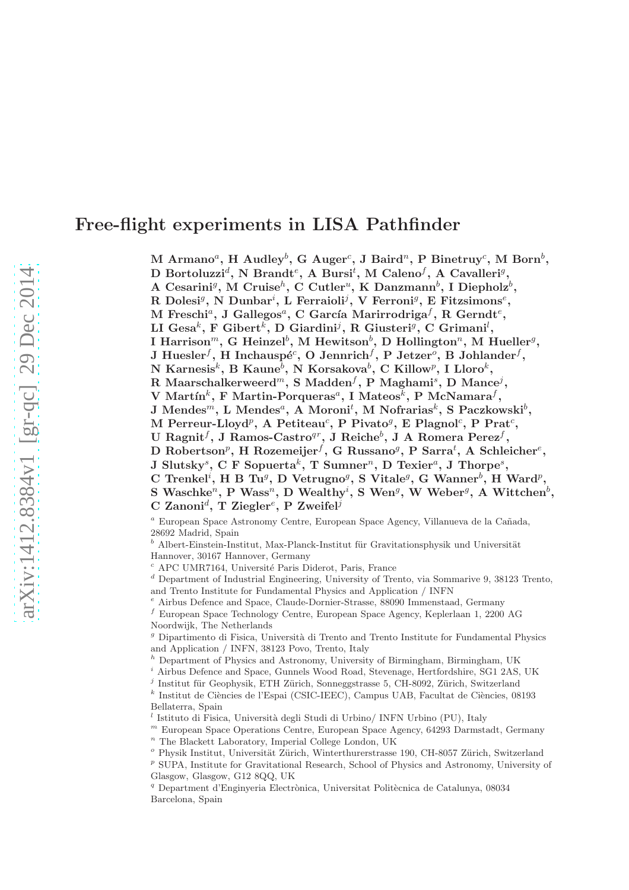# Free-flight experiments in LISA Pathfinder

 $\mathrm{M\text{~Armano}^a,~H\text{~Audley}^b,~G\text{~Auger}^c,~J\text{~Baird}^n,~P\text{~Binetruy}^c,~M\text{~Born}^b,}$ 

D Bortoluzzi<sup>d</sup>, N Brandt<sup>e</sup>, A Bursi<sup>t</sup>, M Caleno<sup>f</sup>, A Cavalleri<sup>g</sup>,

A Cesarini<sup>g</sup>, M Cruise<sup>h</sup>, C Cutler<sup>a</sup>, K Danzmann<sup>b</sup>, I Diepholz<sup>b</sup>,

R Dolesi<sup>g</sup>, N Dunbar<sup>i</sup>, L Ferraioli<sup>j</sup>, V Ferroni<sup>g</sup>, E Fitzsimons<sup>e</sup>,

 $\mathrm M$  Freschi $^a, \mathrm J$  Gallegos $^a, \mathrm C$  García Marirrodriga $^f, \, \mathrm R$  Gerndt $^e,$ 

LI Gesa $^k$ , F Gibert $^k$ , D Giardini<sup>j</sup>, R Giusteri<sup>g</sup>, C Grimani $^l$ ,

I Harrison $^m,$  G Heinzel $^b,$  M Hewitson $^b,$  D Hollington $^n,$  M Hueller $^g,$ 

J Huesler $^f,$  H Inchauspé $^c,$  O Jennrich $^f,$  P Jetzer $^o,$  B Johlander $^f,$ 

N Karnesis $^k$ , B Kaune $^b$ , N Korsakova $^b$ , C Killow $^p$ , I Lloro $^k$ ,

R Maarschalkerweerd $^m,$  S Madden $^f,$  P Maghami $^s,$  D Mance $^j,$ 

 $\rm V$  Martín $^k$ , F Martin-Porqueras $^a,$  I Mateos $^k,$  P McNamara $^f,$ 

 $\rm J$  Mendes $^m$ ,  $\rm L$  Mendes $^a$ , A Moroni $^t,$  M Nofrarias $^k,$  S Paczkowski $^b,$ 

M Perreur-Lloyd<sup>p</sup>, A Petiteau<sup>c</sup>, P Pivato<sup>g</sup>, E Plagnol<sup>c</sup>, P Prat<sup>c</sup>,

U Ragnit $^f,$  J Ramos-Castro $^{qr},$  J Reiche $^b,$  J A Romera Perez $^f,$ 

D Robertson<sup>p</sup>, H Rozemeijer<sup>f</sup>, G Russano<sup>g</sup>, P Sarra<sup>t</sup>, A Schleicher<sup>e</sup>,

 ${\rm J\; Slutsky}^s,\, {\rm C\; F\; Sopuerta}^k,\, {\rm T\; Sumner}^n,\, {\rm D\; Texier}^a,\, {\rm J\; Thorpe}^s,$ 

C Trenkel<sup>i</sup>, H B Tu<sup>g</sup>, D Vetrugno<sup>g</sup>, S Vitale<sup>g</sup>, G Wanner<sup>b</sup>, H Ward<sup>p</sup>,

 $S$  Waschke<sup>n</sup>, P Wass<sup>n</sup>, D Wealthy<sup>i</sup>, S Wen<sup>g</sup>, W Weber<sup>g</sup>, A Wittchen<sup>b</sup>,

 $\mathrm C$  Zanoni<sup>d</sup>, T Ziegler<sup>e</sup>, P Zweifel<sup>j</sup>

 $a$  European Space Astronomy Centre, European Space Agency, Villanueva de la Cañada, 28692 Madrid, Spain

 $^{\boldsymbol{b}}$ Albert-Einstein-Institut, Max-Planck-Institut für Gravitationsphysik und Universität Hannover, 30167 Hannover, Germany

 $c$  APC UMR7164, Université Paris Diderot, Paris, France

<sup>d</sup> Department of Industrial Engineering, University of Trento, via Sommarive 9, 38123 Trento, and Trento Institute for Fundamental Physics and Application / INFN

<sup>e</sup> Airbus Defence and Space, Claude-Dornier-Strasse, 88090 Immenstaad, Germany

<sup>f</sup> European Space Technology Centre, European Space Agency, Keplerlaan 1, 2200 AG Noordwijk, The Netherlands

 $g$  Dipartimento di Fisica, Università di Trento and Trento Institute for Fundamental Physics and Application / INFN, 38123 Povo, Trento, Italy

 $h$  Department of Physics and Astronomy, University of Birmingham, Birmingham, UK

<sup>i</sup> Airbus Defence and Space, Gunnels Wood Road, Stevenage, Hertfordshire, SG1 2AS, UK

 $j$  Institut für Geophysik, ETH Zürich, Sonneggstrasse 5, CH-8092, Zürich, Switzerland

 $^k$  Institut de Ciències de l'Espai (CSIC-IEEC), Campus UAB, Facultat de Ciències, 08193 Bellaterra, Spain

 $l$  Istituto di Fisica, Università degli Studi di Urbino/ INFN Urbino (PU), Italy

 $<sup>m</sup>$  European Space Operations Centre, European Space Agency, 64293 Darmstadt, Germany</sup>  $n$  The Blackett Laboratory, Imperial College London, UK

 $^{\circ}$  Physik Institut, Universität Zürich, Winterthurerstrasse 190, CH-8057 Zürich, Switzerland

<sup>p</sup> SUPA, Institute for Gravitational Research, School of Physics and Astronomy, University of Glasgow, Glasgow, G12 8QQ, UK

<sup>q</sup> Department d'Enginyeria Electrònica, Universitat Politècnica de Catalunya, 08034 Barcelona, Spain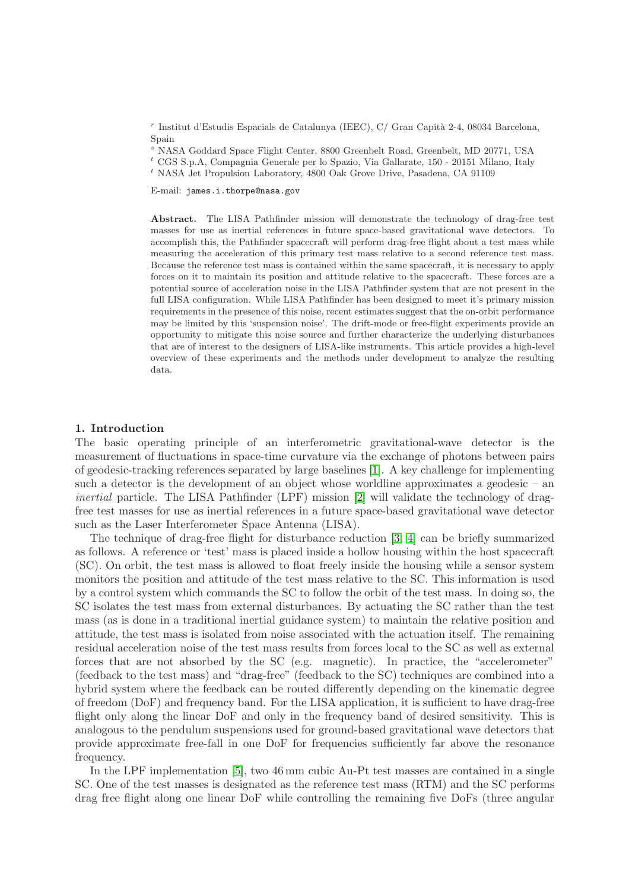$r$ Institut d'Estudis Espacials de Catalunya (IEEC), C/ Gran Capità 2-4, 08034 Barcelona, Spain

<sup>s</sup> NASA Goddard Space Flight Center, 8800 Greenbelt Road, Greenbelt, MD 20771, USA

 $\phantom{}^{t}$  CGS S.p.A, Compagnia Generale per lo Spazio, Via Gallarate, 150 - 20151 Milano, Italy

<sup>t</sup> NASA Jet Propulsion Laboratory, 4800 Oak Grove Drive, Pasadena, CA 91109

E-mail: james.i.thorpe@nasa.gov

Abstract. The LISA Pathfinder mission will demonstrate the technology of drag-free test masses for use as inertial references in future space-based gravitational wave detectors. To accomplish this, the Pathfinder spacecraft will perform drag-free flight about a test mass while measuring the acceleration of this primary test mass relative to a second reference test mass. Because the reference test mass is contained within the same spacecraft, it is necessary to apply forces on it to maintain its position and attitude relative to the spacecraft. These forces are a potential source of acceleration noise in the LISA Pathfinder system that are not present in the full LISA configuration. While LISA Pathfinder has been designed to meet it's primary mission requirements in the presence of this noise, recent estimates suggest that the on-orbit performance may be limited by this 'suspension noise'. The drift-mode or free-flight experiments provide an opportunity to mitigate this noise source and further characterize the underlying disturbances that are of interest to the designers of LISA-like instruments. This article provides a high-level overview of these experiments and the methods under development to analyze the resulting data.

### 1. Introduction

The basic operating principle of an interferometric gravitational-wave detector is the measurement of fluctuations in space-time curvature via the exchange of photons between pairs of geodesic-tracking references separated by large baselines [\[1\]](#page-12-0). A key challenge for implementing such a detector is the development of an object whose worldline approximates a geodesic – an inertial particle. The LISA Pathfinder (LPF) mission [\[2\]](#page-12-1) will validate the technology of dragfree test masses for use as inertial references in a future space-based gravitational wave detector such as the Laser Interferometer Space Antenna (LISA).

The technique of drag-free flight for disturbance reduction [\[3,](#page-12-2) [4\]](#page-12-3) can be briefly summarized as follows. A reference or 'test' mass is placed inside a hollow housing within the host spacecraft (SC). On orbit, the test mass is allowed to float freely inside the housing while a sensor system monitors the position and attitude of the test mass relative to the SC. This information is used by a control system which commands the SC to follow the orbit of the test mass. In doing so, the SC isolates the test mass from external disturbances. By actuating the SC rather than the test mass (as is done in a traditional inertial guidance system) to maintain the relative position and attitude, the test mass is isolated from noise associated with the actuation itself. The remaining residual acceleration noise of the test mass results from forces local to the SC as well as external forces that are not absorbed by the SC (e.g. magnetic). In practice, the "accelerometer" (feedback to the test mass) and "drag-free" (feedback to the SC) techniques are combined into a hybrid system where the feedback can be routed differently depending on the kinematic degree of freedom (DoF) and frequency band. For the LISA application, it is sufficient to have drag-free flight only along the linear DoF and only in the frequency band of desired sensitivity. This is analogous to the pendulum suspensions used for ground-based gravitational wave detectors that provide approximate free-fall in one DoF for frequencies sufficiently far above the resonance frequency.

In the LPF implementation [\[5\]](#page-12-4), two 46 mm cubic Au-Pt test masses are contained in a single SC. One of the test masses is designated as the reference test mass (RTM) and the SC performs drag free flight along one linear DoF while controlling the remaining five DoFs (three angular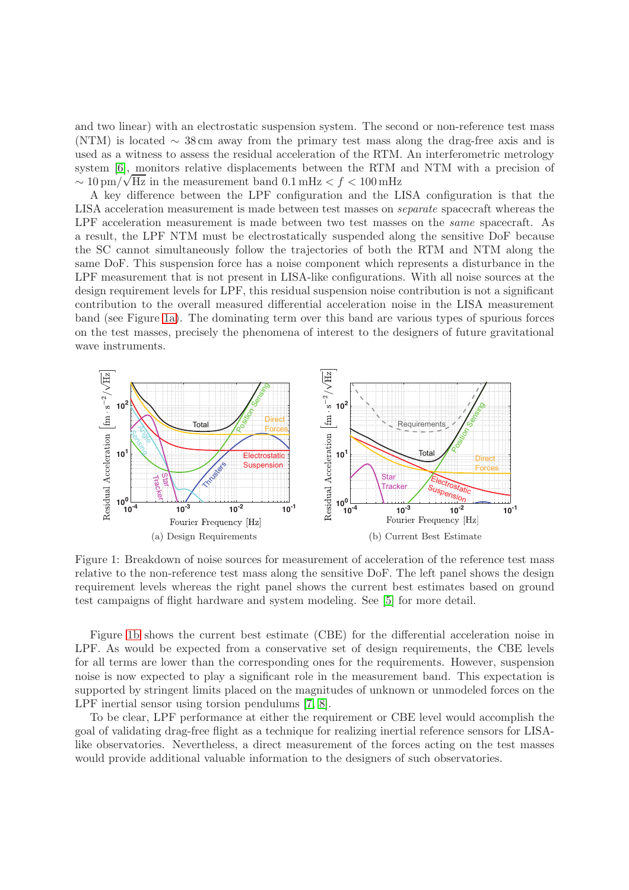and two linear) with an electrostatic suspension system. The second or non-reference test mass (NTM) is located  $\sim$  38 cm away from the primary test mass along the drag-free axis and is used as a witness to assess the residual acceleration of the RTM. An interferometric metrology system [\[6\]](#page-12-5), monitors relative displacements between the RTM and NTM with a precision of  $\sim 10 \,\mathrm{pm}/\sqrt{\mathrm{Hz}}$  in the measurement band 0.1 mHz < f < 100 mHz

A key difference between the LPF configuration and the LISA configuration is that the LISA acceleration measurement is made between test masses on separate spacecraft whereas the LPF acceleration measurement is made between two test masses on the *same* spacecraft. As a result, the LPF NTM must be electrostatically suspended along the sensitive DoF because the SC cannot simultaneously follow the trajectories of both the RTM and NTM along the same DoF. This suspension force has a noise component which represents a disturbance in the LPF measurement that is not present in LISA-like configurations. With all noise sources at the design requirement levels for LPF, this residual suspension noise contribution is not a significant contribution to the overall measured differential acceleration noise in the LISA measurement band (see Figure [1a\)](#page-2-0). The dominating term over this band are various types of spurious forces on the test masses, precisely the phenomena of interest to the designers of future gravitational wave instruments.

<span id="page-2-0"></span>

<span id="page-2-1"></span>Figure 1: Breakdown of noise sources for measurement of acceleration of the reference test mass relative to the non-reference test mass along the sensitive DoF. The left panel shows the design requirement levels whereas the right panel shows the current best estimates based on ground test campaigns of flight hardware and system modeling. See [\[5\]](#page-12-4) for more detail.

Figure [1b](#page-2-1) shows the current best estimate (CBE) for the differential acceleration noise in LPF. As would be expected from a conservative set of design requirements, the CBE levels for all terms are lower than the corresponding ones for the requirements. However, suspension noise is now expected to play a significant role in the measurement band. This expectation is supported by stringent limits placed on the magnitudes of unknown or unmodeled forces on the LPF inertial sensor using torsion pendulums [\[7,](#page-12-6) [8\]](#page-12-7).

To be clear, LPF performance at either the requirement or CBE level would accomplish the goal of validating drag-free flight as a technique for realizing inertial reference sensors for LISAlike observatories. Nevertheless, a direct measurement of the forces acting on the test masses would provide additional valuable information to the designers of such observatories.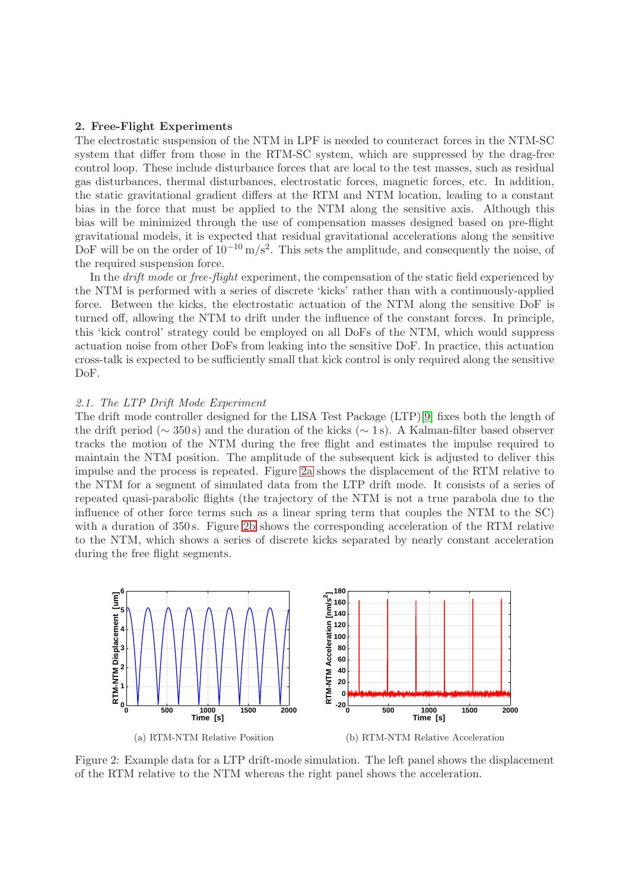### 2. Free-Flight Experiments

The electrostatic suspension of the NTM in LPF is needed to counteract forces in the NTM-SC system that differ from those in the RTM-SC system, which are suppressed by the drag-free control loop. These include disturbance forces that are local to the test masses, such as residual gas disturbances, thermal disturbances, electrostatic forces, magnetic forces, etc. In addition, the static gravitational gradient differs at the RTM and NTM location, leading to a constant bias in the force that must be applied to the NTM along the sensitive axis. Although this bias will be minimized through the use of compensation masses designed based on pre-flight gravitational models, it is expected that residual gravitational accelerations along the sensitive DoF will be on the order of  $10^{-10}$  m/s<sup>2</sup>. This sets the amplitude, and consequently the noise, of the required suspension force.

In the *drift mode* or *free-flight* experiment, the compensation of the static field experienced by the NTM is performed with a series of discrete 'kicks' rather than with a continuously-applied force. Between the kicks, the electrostatic actuation of the NTM along the sensitive DoF is turned off, allowing the NTM to drift under the influence of the constant forces. In principle, this 'kick control' strategy could be employed on all DoFs of the NTM, which would suppress actuation noise from other DoFs from leaking into the sensitive DoF. In practice, this actuation cross-talk is expected to be sufficiently small that kick control is only required along the sensitive DoF.

#### 2.1. The LTP Drift Mode Experiment

The drift mode controller designed for the LISA Test Package (LTP)[\[9\]](#page-12-8) fixes both the length of the drift period ( $\sim$  350s) and the duration of the kicks ( $\sim$  1s). A Kalman-filter based observer tracks the motion of the NTM during the free flight and estimates the impulse required to maintain the NTM position. The amplitude of the subsequent kick is adjusted to deliver this impulse and the process is repeated. Figure [2a](#page-3-0) shows the displacement of the RTM relative to the NTM for a segment of simulated data from the LTP drift mode. It consists of a series of repeated quasi-parabolic flights (the trajectory of the NTM is not a true parabola due to the influence of other force terms such as a linear spring term that couples the NTM to the SC) with a duration of 350 s. Figure [2b](#page-3-1) shows the corresponding acceleration of the RTM relative to the NTM, which shows a series of discrete kicks separated by nearly constant acceleration during the free flight segments.

<span id="page-3-0"></span>

<span id="page-3-1"></span>Figure 2: Example data for a LTP drift-mode simulation. The left panel shows the displacement of the RTM relative to the NTM whereas the right panel shows the acceleration.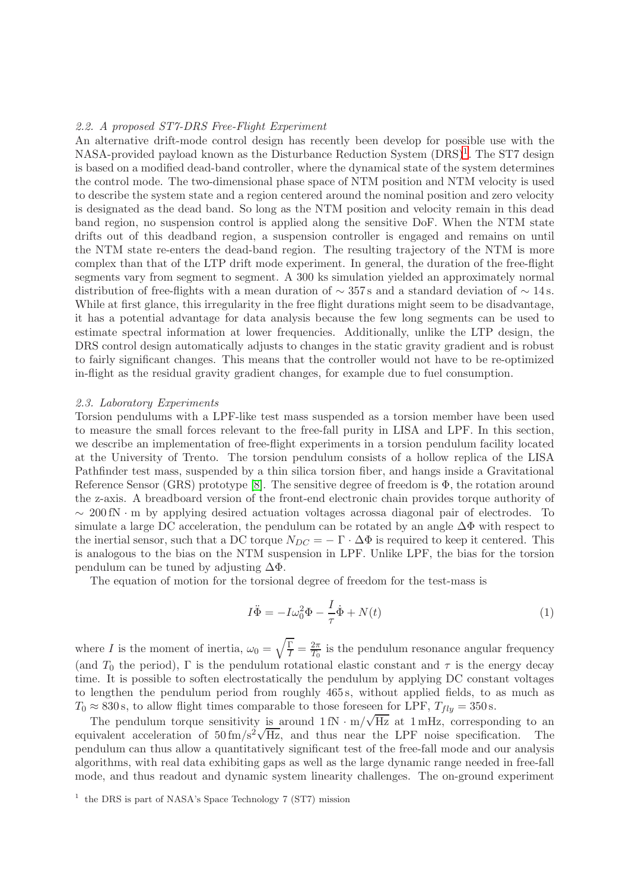# 2.2. A proposed ST7-DRS Free-Flight Experiment

An alternative drift-mode control design has recently been develop for possible use with the NASA-provided payload known as the Disturbance Reduction System (DRS)<sup>[1](#page-4-0)</sup>. The ST7 design is based on a modified dead-band controller, where the dynamical state of the system determines the control mode. The two-dimensional phase space of NTM position and NTM velocity is used to describe the system state and a region centered around the nominal position and zero velocity is designated as the dead band. So long as the NTM position and velocity remain in this dead band region, no suspension control is applied along the sensitive DoF. When the NTM state drifts out of this deadband region, a suspension controller is engaged and remains on until the NTM state re-enters the dead-band region. The resulting trajectory of the NTM is more complex than that of the LTP drift mode experiment. In general, the duration of the free-flight segments vary from segment to segment. A 300 ks simulation yielded an approximately normal distribution of free-flights with a mean duration of  $\sim$  357s and a standard deviation of  $\sim$  14 s. While at first glance, this irregularity in the free flight durations might seem to be disadvantage, it has a potential advantage for data analysis because the few long segments can be used to estimate spectral information at lower frequencies. Additionally, unlike the LTP design, the DRS control design automatically adjusts to changes in the static gravity gradient and is robust to fairly significant changes. This means that the controller would not have to be re-optimized in-flight as the residual gravity gradient changes, for example due to fuel consumption.

#### 2.3. Laboratory Experiments

Torsion pendulums with a LPF-like test mass suspended as a torsion member have been used to measure the small forces relevant to the free-fall purity in LISA and LPF. In this section, we describe an implementation of free-flight experiments in a torsion pendulum facility located at the University of Trento. The torsion pendulum consists of a hollow replica of the LISA Pathfinder test mass, suspended by a thin silica torsion fiber, and hangs inside a Gravitational Reference Sensor (GRS) prototype [\[8\]](#page-12-7). The sensitive degree of freedom is Φ, the rotation around the z-axis. A breadboard version of the front-end electronic chain provides torque authority of ∼ 200 fN · m by applying desired actuation voltages acrossa diagonal pair of electrodes. To simulate a large DC acceleration, the pendulum can be rotated by an angle  $\Delta\Phi$  with respect to the inertial sensor, such that a DC torque  $N_{DC} = -\Gamma \cdot \Delta \Phi$  is required to keep it centered. This is analogous to the bias on the NTM suspension in LPF. Unlike LPF, the bias for the torsion pendulum can be tuned by adjusting  $\Delta\Phi$ .

The equation of motion for the torsional degree of freedom for the test-mass is

$$
I\ddot{\Phi} = -I\omega_0^2 \Phi - \frac{I}{\tau} \dot{\Phi} + N(t)
$$
\n(1)

where *I* is the moment of inertia,  $\omega_0 = \sqrt{\frac{\Gamma}{I}} = \frac{2\pi}{T_0}$  $\frac{2\pi}{T_0}$  is the pendulum resonance angular frequency (and  $T_0$  the period),  $\Gamma$  is the pendulum rotational elastic constant and  $\tau$  is the energy decay time. It is possible to soften electrostatically the pendulum by applying DC constant voltages to lengthen the pendulum period from roughly 465 s, without applied fields, to as much as  $T_0 \approx 830 \text{ s}$ , to allow flight times comparable to those foreseen for LPF,  $T_{fly} = 350 \text{ s}$ .

The pendulum torque sensitivity is around  $1 \text{ fN} \cdot \text{m}/\sqrt{\text{Hz}}$  at  $1 \text{ mHz}$ , corresponding to an equivalent acceleration of  $50 \text{ fm/s}^2 \sqrt{\text{Hz}}$ , and thus near the LPF noise specification. The pendulum can thus allow a quantitatively significant test of the free-fall mode and our analysis algorithms, with real data exhibiting gaps as well as the large dynamic range needed in free-fall mode, and thus readout and dynamic system linearity challenges. The on-ground experiment

<span id="page-4-0"></span><sup>&</sup>lt;sup>1</sup> the DRS is part of NASA's Space Technology 7 (ST7) mission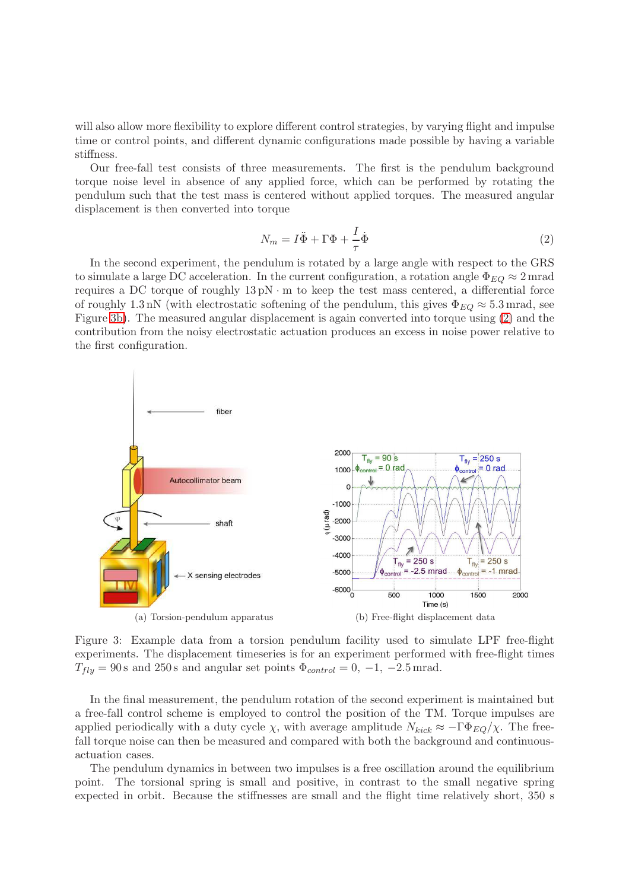will also allow more flexibility to explore different control strategies, by varying flight and impulse time or control points, and different dynamic configurations made possible by having a variable stiffness.

Our free-fall test consists of three measurements. The first is the pendulum background torque noise level in absence of any applied force, which can be performed by rotating the pendulum such that the test mass is centered without applied torques. The measured angular displacement is then converted into torque

<span id="page-5-1"></span>
$$
N_m = I\ddot{\Phi} + \Gamma \Phi + \frac{I}{\tau} \dot{\Phi}
$$
\n<sup>(2)</sup>

In the second experiment, the pendulum is rotated by a large angle with respect to the GRS to simulate a large DC acceleration. In the current configuration, a rotation angle  $\Phi_{EO} \approx 2 \text{ mrad}$ requires a DC torque of roughly  $13 \text{ pN} \cdot \text{m}$  to keep the test mass centered, a differential force of roughly 1.3 nN (with electrostatic softening of the pendulum, this gives  $\Phi_{EQ} \approx 5.3$  mrad, see Figure [3b\)](#page-5-0). The measured angular displacement is again converted into torque using [\(2\)](#page-5-1) and the contribution from the noisy electrostatic actuation produces an excess in noise power relative to the first configuration.



<span id="page-5-0"></span>Figure 3: Example data from a torsion pendulum facility used to simulate LPF free-flight experiments. The displacement timeseries is for an experiment performed with free-flight times  $T_{flu} = 90 \text{ s and } 250 \text{ s and angular set points } \Phi_{control} = 0, -1, -2.5 \text{ mrad.}$ 

In the final measurement, the pendulum rotation of the second experiment is maintained but a free-fall control scheme is employed to control the position of the TM. Torque impulses are applied periodically with a duty cycle  $\chi$ , with average amplitude  $N_{kick} \approx -\Gamma \Phi_{EQ}/\chi$ . The freefall torque noise can then be measured and compared with both the background and continuousactuation cases.

The pendulum dynamics in between two impulses is a free oscillation around the equilibrium point. The torsional spring is small and positive, in contrast to the small negative spring expected in orbit. Because the stiffnesses are small and the flight time relatively short, 350 s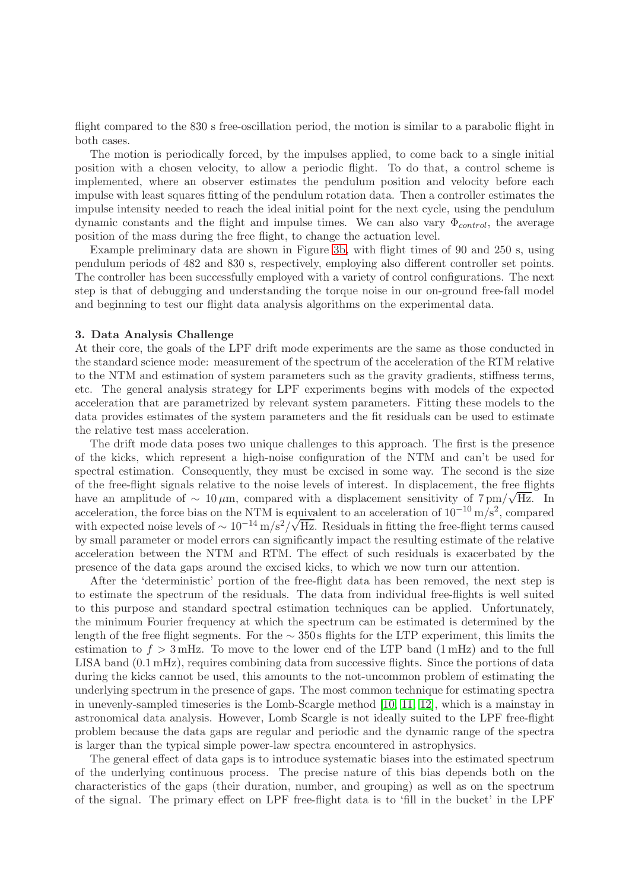flight compared to the 830 s free-oscillation period, the motion is similar to a parabolic flight in both cases.

The motion is periodically forced, by the impulses applied, to come back to a single initial position with a chosen velocity, to allow a periodic flight. To do that, a control scheme is implemented, where an observer estimates the pendulum position and velocity before each impulse with least squares fitting of the pendulum rotation data. Then a controller estimates the impulse intensity needed to reach the ideal initial point for the next cycle, using the pendulum dynamic constants and the flight and impulse times. We can also vary  $\Phi_{control}$ , the average position of the mass during the free flight, to change the actuation level.

Example preliminary data are shown in Figure [3b,](#page-5-0) with flight times of 90 and 250 s, using pendulum periods of 482 and 830 s, respectively, employing also different controller set points. The controller has been successfully employed with a variety of control configurations. The next step is that of debugging and understanding the torque noise in our on-ground free-fall model and beginning to test our flight data analysis algorithms on the experimental data.

### <span id="page-6-0"></span>3. Data Analysis Challenge

At their core, the goals of the LPF drift mode experiments are the same as those conducted in the standard science mode: measurement of the spectrum of the acceleration of the RTM relative to the NTM and estimation of system parameters such as the gravity gradients, stiffness terms, etc. The general analysis strategy for LPF experiments begins with models of the expected acceleration that are parametrized by relevant system parameters. Fitting these models to the data provides estimates of the system parameters and the fit residuals can be used to estimate the relative test mass acceleration.

The drift mode data poses two unique challenges to this approach. The first is the presence of the kicks, which represent a high-noise configuration of the NTM and can't be used for spectral estimation. Consequently, they must be excised in some way. The second is the size of the free-flight signals relative to the noise levels of interest. In displacement, the free flights have an amplitude of  $\sim 10 \mu$ m, compared with a displacement sensitivity of 7 pm/ $\sqrt{Hz}$ . In acceleration, the force bias on the NTM is equivalent to an acceleration of  $10^{-10}$  m/s<sup>2</sup>, compared with expected noise levels of  $\sim 10^{-14}$  m/s<sup>2</sup>/ $\sqrt{Hz}$ . Residuals in fitting the free-flight terms caused by small parameter or model errors can significantly impact the resulting estimate of the relative acceleration between the NTM and RTM. The effect of such residuals is exacerbated by the presence of the data gaps around the excised kicks, to which we now turn our attention.

After the 'deterministic' portion of the free-flight data has been removed, the next step is to estimate the spectrum of the residuals. The data from individual free-flights is well suited to this purpose and standard spectral estimation techniques can be applied. Unfortunately, the minimum Fourier frequency at which the spectrum can be estimated is determined by the length of the free flight segments. For the ∼ 350 s flights for the LTP experiment, this limits the estimation to  $f > 3$  mHz. To move to the lower end of the LTP band  $(1 \text{ mHz})$  and to the full LISA band (0.1 mHz), requires combining data from successive flights. Since the portions of data during the kicks cannot be used, this amounts to the not-uncommon problem of estimating the underlying spectrum in the presence of gaps. The most common technique for estimating spectra in unevenly-sampled timeseries is the Lomb-Scargle method [\[10,](#page-12-9) [11,](#page-12-10) [12\]](#page-12-11), which is a mainstay in astronomical data analysis. However, Lomb Scargle is not ideally suited to the LPF free-flight problem because the data gaps are regular and periodic and the dynamic range of the spectra is larger than the typical simple power-law spectra encountered in astrophysics.

The general effect of data gaps is to introduce systematic biases into the estimated spectrum of the underlying continuous process. The precise nature of this bias depends both on the characteristics of the gaps (their duration, number, and grouping) as well as on the spectrum of the signal. The primary effect on LPF free-flight data is to 'fill in the bucket' in the LPF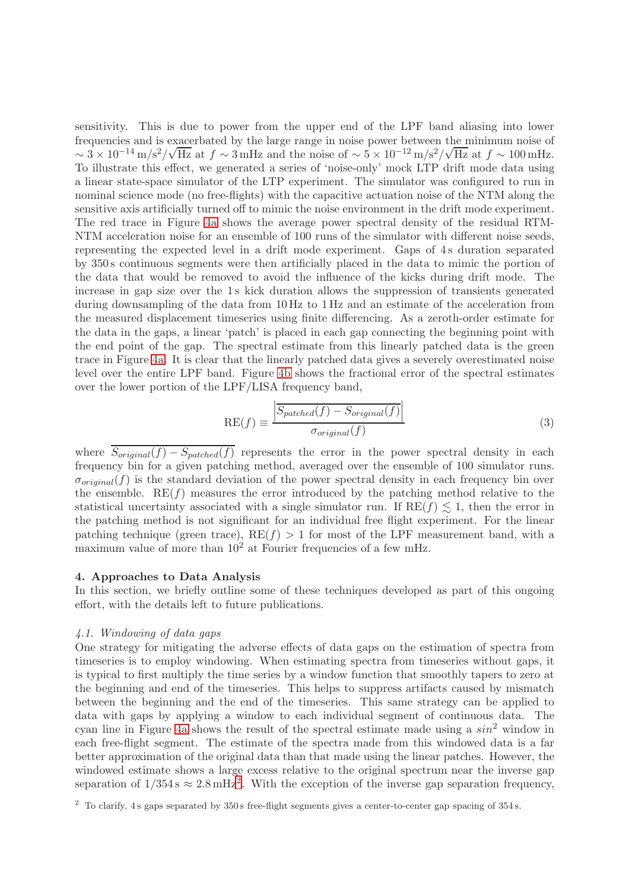sensitivity. This is due to power from the upper end of the LPF band aliasing into lower frequencies and is exacerbated by the large range in noise power between the minimum noise of  $\sim 3 \times 10^{-14} \text{ m/s}^2/\sqrt{\text{Hz}}$  at  $f \sim 3 \text{ mHz}$  and the noise of  $\sim 5 \times 10^{-12} \text{ m/s}^2/\sqrt{\text{Hz}}$  at  $f \sim 100 \text{ mHz}$ . To illustrate this effect, we generated a series of 'noise-only' mock LTP drift mode data using a linear state-space simulator of the LTP experiment. The simulator was configured to run in nominal science mode (no free-flights) with the capacitive actuation noise of the NTM along the sensitive axis artificially turned off to mimic the noise environment in the drift mode experiment. The red trace in Figure [4a](#page-8-0) shows the average power spectral density of the residual RTM-NTM acceleration noise for an ensemble of 100 runs of the simulator with different noise seeds, representing the expected level in a drift mode experiment. Gaps of 4 s duration separated by 350 s continuous segments were then artificially placed in the data to mimic the portion of the data that would be removed to avoid the influence of the kicks during drift mode. The increase in gap size over the 1 s kick duration allows the suppression of transients generated during downsampling of the data from 10 Hz to 1 Hz and an estimate of the acceleration from the measured displacement timeseries using finite differencing. As a zeroth-order estimate for the data in the gaps, a linear 'patch' is placed in each gap connecting the beginning point with the end point of the gap. The spectral estimate from this linearly patched data is the green trace in Figure [4a.](#page-8-0) It is clear that the linearly patched data gives a severely overestimated noise level over the entire LPF band. Figure [4b](#page-8-1) shows the fractional error of the spectral estimates over the lower portion of the LPF/LISA frequency band,

<span id="page-7-1"></span>
$$
RE(f) \equiv \frac{\boxed{S_{patched}(f) - S_{original}(f)}}{\sigma_{original}(f)}
$$
\n(3)

where  $\overline{S_{original}(f) - S_{patched}(f)}$  represents the error in the power spectral density in each frequency bin for a given patching method, averaged over the ensemble of 100 simulator runs.  $\sigma_{original}(f)$  is the standard deviation of the power spectral density in each frequency bin over the ensemble.  $RE(f)$  measures the error introduced by the patching method relative to the statistical uncertainty associated with a single simulator run. If  $RE(f) \leq 1$ , then the error in the patching method is not significant for an individual free flight experiment. For the linear patching technique (green trace),  $RE(f) > 1$  for most of the LPF measurement band, with a maximum value of more than  $10^2$  at Fourier frequencies of a few mHz.

# 4. Approaches to Data Analysis

In this section, we briefly outline some of these techniques developed as part of this ongoing effort, with the details left to future publications.

# 4.1. Windowing of data gaps

One strategy for mitigating the adverse effects of data gaps on the estimation of spectra from timeseries is to employ windowing. When estimating spectra from timeseries without gaps, it is typical to first multiply the time series by a window function that smoothly tapers to zero at the beginning and end of the timeseries. This helps to suppress artifacts caused by mismatch between the beginning and the end of the timeseries. This same strategy can be applied to data with gaps by applying a window to each individual segment of continuous data. The cyan line in Figure [4a](#page-8-0) shows the result of the spectral estimate made using a  $sin^2$  window in each free-flight segment. The estimate of the spectra made from this windowed data is a far better approximation of the original data than that made using the linear patches. However, the windowed estimate shows a large excess relative to the original spectrum near the inverse gap separation of  $1/354 \text{ s} \approx 2.8 \text{ mHz}^2$  $1/354 \text{ s} \approx 2.8 \text{ mHz}^2$  $1/354 \text{ s} \approx 2.8 \text{ mHz}^2$ . With the exception of the inverse gap separation frequency,

<span id="page-7-0"></span> $2\degree$  To clarify, 4s gaps separated by 350 s free-flight segments gives a center-to-center gap spacing of 354 s.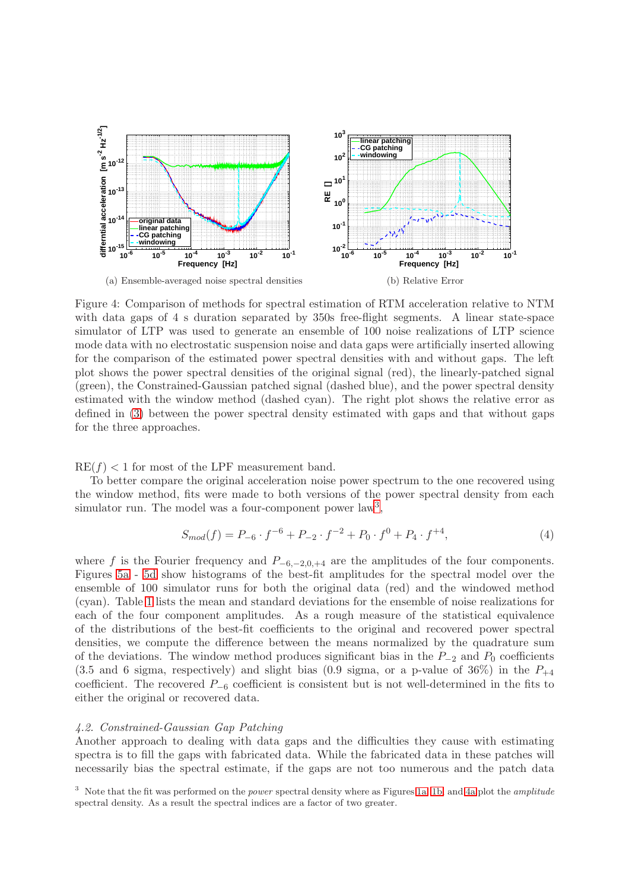<span id="page-8-0"></span>

<span id="page-8-1"></span>Figure 4: Comparison of methods for spectral estimation of RTM acceleration relative to NTM with data gaps of 4 s duration separated by 350s free-flight segments. A linear state-space simulator of LTP was used to generate an ensemble of 100 noise realizations of LTP science mode data with no electrostatic suspension noise and data gaps were artificially inserted allowing for the comparison of the estimated power spectral densities with and without gaps. The left plot shows the power spectral densities of the original signal (red), the linearly-patched signal (green), the Constrained-Gaussian patched signal (dashed blue), and the power spectral density estimated with the window method (dashed cyan). The right plot shows the relative error as defined in [\(3\)](#page-7-1) between the power spectral density estimated with gaps and that without gaps for the three approaches.

 $RE(f) < 1$  for most of the LPF measurement band.

To better compare the original acceleration noise power spectrum to the one recovered using the window method, fits were made to both versions of the power spectral density from each simulator run. The model was a four-component power law<sup>[3](#page-8-2)</sup>,

<span id="page-8-3"></span>
$$
S_{mod}(f) = P_{-6} \cdot f^{-6} + P_{-2} \cdot f^{-2} + P_0 \cdot f^0 + P_4 \cdot f^{+4},\tag{4}
$$

where f is the Fourier frequency and  $P_{-6,-2,0,+4}$  are the amplitudes of the four components. Figures [5a](#page-10-0) - [5d](#page-10-1) show histograms of the best-fit amplitudes for the spectral model over the ensemble of 100 simulator runs for both the original data (red) and the windowed method (cyan). Table [1](#page-9-0) lists the mean and standard deviations for the ensemble of noise realizations for each of the four component amplitudes. As a rough measure of the statistical equivalence of the distributions of the best-fit coefficients to the original and recovered power spectral densities, we compute the difference between the means normalized by the quadrature sum of the deviations. The window method produces significant bias in the  $P_{-2}$  and  $P_0$  coefficients  $(3.5 \text{ and } 6 \text{ sigma}, \text{ respectively})$  and slight bias  $(0.9 \text{ sigma}, \text{ or a p-value of } 36\%)$  in the  $P_{+4}$ coefficient. The recovered  $P_{-6}$  coefficient is consistent but is not well-determined in the fits to either the original or recovered data.

# 4.2. Constrained-Gaussian Gap Patching

Another approach to dealing with data gaps and the difficulties they cause with estimating spectra is to fill the gaps with fabricated data. While the fabricated data in these patches will necessarily bias the spectral estimate, if the gaps are not too numerous and the patch data

<span id="page-8-2"></span> $3$  Note that the fit was performed on the *power* spectral density where as Figures [1a,](#page-2-0) [1b,](#page-2-1) and [4a](#page-8-0) plot the *amplitude* spectral density. As a result the spectral indices are a factor of two greater.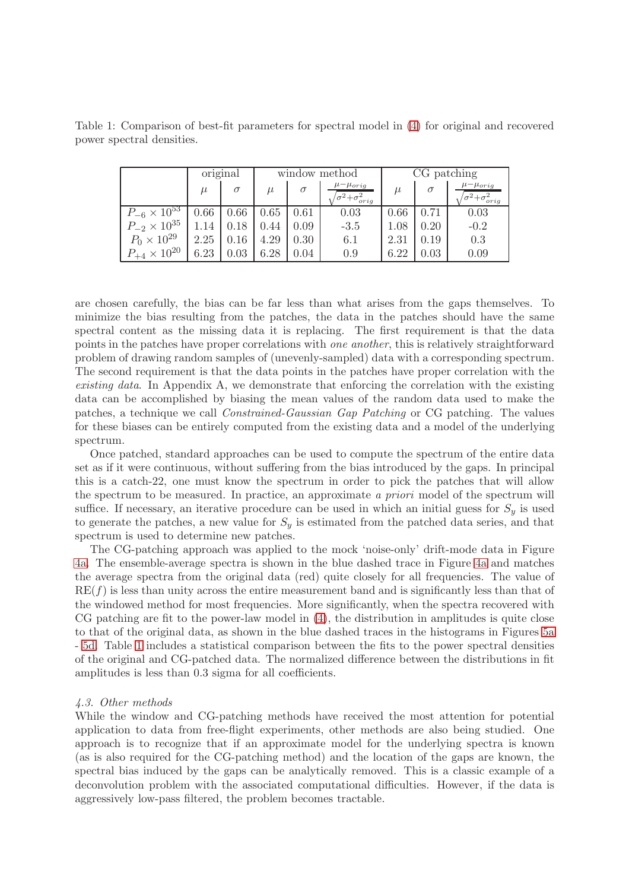|                         | original |      | window method |          |                                                  | CG patching |          |                                                  |
|-------------------------|----------|------|---------------|----------|--------------------------------------------------|-------------|----------|--------------------------------------------------|
|                         | $\mu$    |      | $\mu$         | $\sigma$ | $\mu-\mu_{orig}$<br>$\sigma^2 + \sigma_{orig}^2$ | $\mu$       | $\sigma$ | $\mu-\mu_{orig}$<br>$\sigma^2 + \sigma_{orig}^2$ |
| $P_{-6} \times 10^{53}$ | 0.66     | 0.66 | 0.65          | 0.61     | 0.03                                             | 0.66        | 0.71     | 0.03                                             |
| $P_{-2} \times 10^{35}$ | 1.14     | 0.18 | 0.44          | 0.09     | $-3.5$                                           | 1.08        | 0.20     | $-0.2$                                           |
| $P_0 \times 10^{29}$    | 2.25     | 0.16 | 4.29          | 0.30     | 6.1                                              | 2.31        | 0.19     | 0.3                                              |
| $P_{+4} \times 10^{20}$ | 6.23     | 0.03 | 6.28          | 0.04     | 0.9                                              | 6.22        | 0.03     | 0.09                                             |

<span id="page-9-0"></span>Table 1: Comparison of best-fit parameters for spectral model in [\(4\)](#page-8-3) for original and recovered power spectral densities.

are chosen carefully, the bias can be far less than what arises from the gaps themselves. To minimize the bias resulting from the patches, the data in the patches should have the same spectral content as the missing data it is replacing. The first requirement is that the data points in the patches have proper correlations with one another, this is relatively straightforward problem of drawing random samples of (unevenly-sampled) data with a corresponding spectrum. The second requirement is that the data points in the patches have proper correlation with the existing data. In Appendix A, we demonstrate that enforcing the correlation with the existing data can be accomplished by biasing the mean values of the random data used to make the patches, a technique we call Constrained-Gaussian Gap Patching or CG patching. The values for these biases can be entirely computed from the existing data and a model of the underlying spectrum.

Once patched, standard approaches can be used to compute the spectrum of the entire data set as if it were continuous, without suffering from the bias introduced by the gaps. In principal this is a catch-22, one must know the spectrum in order to pick the patches that will allow the spectrum to be measured. In practice, an approximate a priori model of the spectrum will suffice. If necessary, an iterative procedure can be used in which an initial guess for  $S_y$  is used to generate the patches, a new value for  $S_y$  is estimated from the patched data series, and that spectrum is used to determine new patches.

The CG-patching approach was applied to the mock 'noise-only' drift-mode data in Figure [4a.](#page-8-0) The ensemble-average spectra is shown in the blue dashed trace in Figure [4a](#page-8-0) and matches the average spectra from the original data (red) quite closely for all frequencies. The value of  $RE(f)$  is less than unity across the entire measurement band and is significantly less than that of the windowed method for most frequencies. More significantly, when the spectra recovered with CG patching are fit to the power-law model in [\(4\)](#page-8-3), the distribution in amplitudes is quite close to that of the original data, as shown in the blue dashed traces in the histograms in Figures [5a](#page-10-0) - [5d.](#page-10-1) Table [1](#page-9-0) includes a statistical comparison between the fits to the power spectral densities of the original and CG-patched data. The normalized difference between the distributions in fit amplitudes is less than 0.3 sigma for all coefficients.

# 4.3. Other methods

While the window and CG-patching methods have received the most attention for potential application to data from free-flight experiments, other methods are also being studied. One approach is to recognize that if an approximate model for the underlying spectra is known (as is also required for the CG-patching method) and the location of the gaps are known, the spectral bias induced by the gaps can be analytically removed. This is a classic example of a deconvolution problem with the associated computational difficulties. However, if the data is aggressively low-pass filtered, the problem becomes tractable.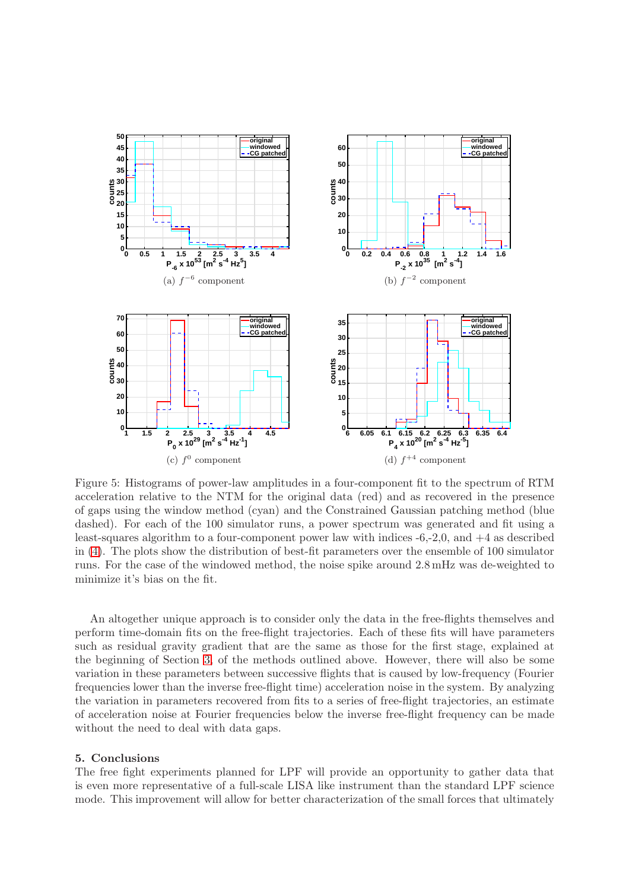<span id="page-10-0"></span>

<span id="page-10-1"></span>Figure 5: Histograms of power-law amplitudes in a four-component fit to the spectrum of RTM acceleration relative to the NTM for the original data (red) and as recovered in the presence of gaps using the window method (cyan) and the Constrained Gaussian patching method (blue dashed). For each of the 100 simulator runs, a power spectrum was generated and fit using a least-squares algorithm to a four-component power law with indices -6,-2,0, and +4 as described in [\(4\)](#page-8-3). The plots show the distribution of best-fit parameters over the ensemble of 100 simulator runs. For the case of the windowed method, the noise spike around 2.8 mHz was de-weighted to minimize it's bias on the fit.

An altogether unique approach is to consider only the data in the free-flights themselves and perform time-domain fits on the free-flight trajectories. Each of these fits will have parameters such as residual gravity gradient that are the same as those for the first stage, explained at the beginning of Section [3,](#page-6-0) of the methods outlined above. However, there will also be some variation in these parameters between successive flights that is caused by low-frequency (Fourier frequencies lower than the inverse free-flight time) acceleration noise in the system. By analyzing the variation in parameters recovered from fits to a series of free-flight trajectories, an estimate of acceleration noise at Fourier frequencies below the inverse free-flight frequency can be made without the need to deal with data gaps.

# 5. Conclusions

The free fight experiments planned for LPF will provide an opportunity to gather data that is even more representative of a full-scale LISA like instrument than the standard LPF science mode. This improvement will allow for better characterization of the small forces that ultimately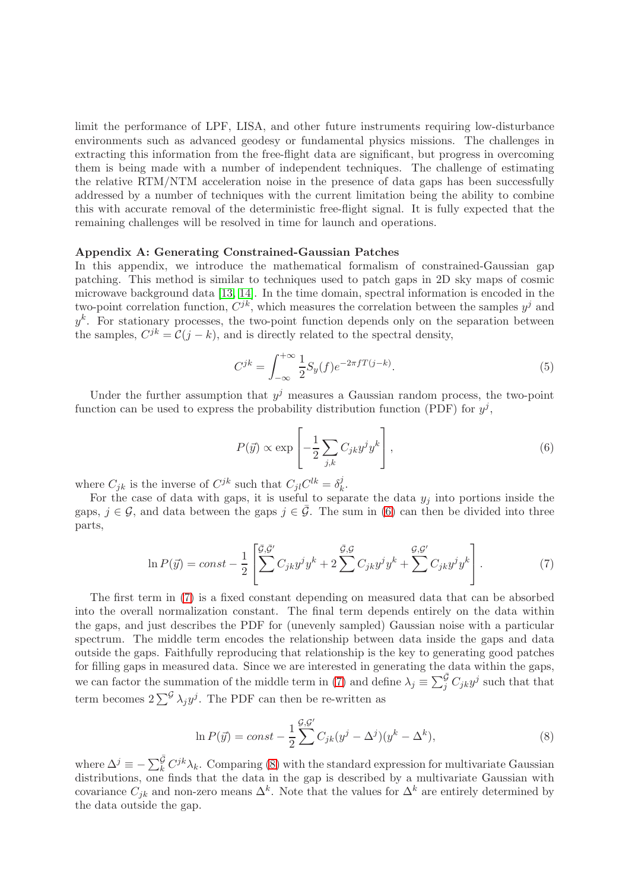limit the performance of LPF, LISA, and other future instruments requiring low-disturbance environments such as advanced geodesy or fundamental physics missions. The challenges in extracting this information from the free-flight data are significant, but progress in overcoming them is being made with a number of independent techniques. The challenge of estimating the relative RTM/NTM acceleration noise in the presence of data gaps has been successfully addressed by a number of techniques with the current limitation being the ability to combine this with accurate removal of the deterministic free-flight signal. It is fully expected that the remaining challenges will be resolved in time for launch and operations.

# Appendix A: Generating Constrained-Gaussian Patches

In this appendix, we introduce the mathematical formalism of constrained-Gaussian gap patching. This method is similar to techniques used to patch gaps in 2D sky maps of cosmic microwave background data [\[13,](#page-12-12) [14\]](#page-12-13). In the time domain, spectral information is encoded in the two-point correlation function,  $C^{jk}$ , which measures the correlation between the samples  $y^j$  and  $y^k$ . For stationary processes, the two-point function depends only on the separation between the samples,  $C^{jk} = \mathcal{C}(j - k)$ , and is directly related to the spectral density,

$$
C^{jk} = \int_{-\infty}^{+\infty} \frac{1}{2} S_y(f) e^{-2\pi f T(j-k)}.
$$
\n(5)

Under the further assumption that  $y^j$  measures a Gaussian random process, the two-point function can be used to express the probability distribution function (PDF) for  $y^j$ ,

<span id="page-11-0"></span>
$$
P(\vec{y}) \propto \exp\left[-\frac{1}{2} \sum_{j,k} C_{jk} y^j y^k\right],\tag{6}
$$

where  $C_{jk}$  is the inverse of  $C^{jk}$  such that  $C_{jl}C^{lk} = \delta_k^j$  $\frac{j}{k}$ .

For the case of data with gaps, it is useful to separate the data  $y_j$  into portions inside the gaps,  $j \in \mathcal{G}$ , and data between the gaps  $j \in \bar{\mathcal{G}}$ . The sum in [\(6\)](#page-11-0) can then be divided into three parts,

<span id="page-11-1"></span>
$$
\ln P(\vec{y}) = const - \frac{1}{2} \left[ \sum^{\bar{G}, \bar{G}'} C_{jk} y^j y^k + 2 \sum^{\bar{G}, \mathcal{G}} C_{jk} y^j y^k + \sum^{\mathcal{G}, \mathcal{G}'} C_{jk} y^j y^k \right]. \tag{7}
$$

The first term in [\(7\)](#page-11-1) is a fixed constant depending on measured data that can be absorbed into the overall normalization constant. The final term depends entirely on the data within the gaps, and just describes the PDF for (unevenly sampled) Gaussian noise with a particular spectrum. The middle term encodes the relationship between data inside the gaps and data outside the gaps. Faithfully reproducing that relationship is the key to generating good patches for filling gaps in measured data. Since we are interested in generating the data within the gaps, we can factor the summation of the middle term in [\(7\)](#page-11-1) and define  $\lambda_j \equiv \sum_j^{\bar{G}} C_{jk} y^j$  such that that term becomes  $2\sum_{i}^{G} \lambda_{j} y^{j}$ . The PDF can then be re-written as

<span id="page-11-2"></span>
$$
\ln P(\vec{y}) = const - \frac{1}{2} \sum_{j}^{S, G'} C_{jk} (y^j - \Delta^j) (y^k - \Delta^k), \tag{8}
$$

where  $\Delta^j \equiv -\sum_k^{\bar{G}} C^{jk}\lambda_k$ . Comparing [\(8\)](#page-11-2) with the standard expression for multivariate Gaussian distributions, one finds that the data in the gap is described by a multivariate Gaussian with covariance  $C_{jk}$  and non-zero means  $\Delta^k$ . Note that the values for  $\Delta^k$  are entirely determined by the data outside the gap.